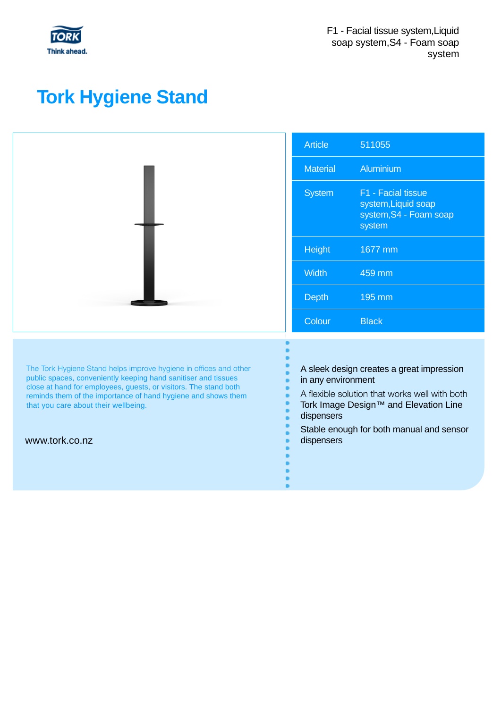

## **Tork Hygiene Stand**

|                                                                                                                                                                                                                                                                                                                                    | <b>Article</b>                                                                                                                                                                                                                    | 511055                                                                        |
|------------------------------------------------------------------------------------------------------------------------------------------------------------------------------------------------------------------------------------------------------------------------------------------------------------------------------------|-----------------------------------------------------------------------------------------------------------------------------------------------------------------------------------------------------------------------------------|-------------------------------------------------------------------------------|
|                                                                                                                                                                                                                                                                                                                                    | <b>Material</b>                                                                                                                                                                                                                   | Aluminium                                                                     |
|                                                                                                                                                                                                                                                                                                                                    | <b>System</b>                                                                                                                                                                                                                     | F1 - Facial tissue<br>system, Liquid soap<br>system, S4 - Foam soap<br>system |
|                                                                                                                                                                                                                                                                                                                                    | Height                                                                                                                                                                                                                            | 1677 mm                                                                       |
|                                                                                                                                                                                                                                                                                                                                    | Width                                                                                                                                                                                                                             | 459 mm                                                                        |
|                                                                                                                                                                                                                                                                                                                                    | <b>Depth</b>                                                                                                                                                                                                                      | 195 mm                                                                        |
|                                                                                                                                                                                                                                                                                                                                    | Colour                                                                                                                                                                                                                            | <b>Black</b>                                                                  |
| The Tork Hygiene Stand helps improve hygiene in offices and other<br>public spaces, conveniently keeping hand sanitiser and tissues<br>close at hand for employees, guests, or visitors. The stand both<br>reminds them of the importance of hand hygiene and shows them<br>that you care about their wellbeing.<br>www.tork.co.nz | A sleek design creates a great impression<br>in any environment<br>A flexible solution that works well with both<br>Tork Image Design™ and Elevation Line<br>dispensers<br>Stable enough for both manual and sensor<br>dispensers |                                                                               |